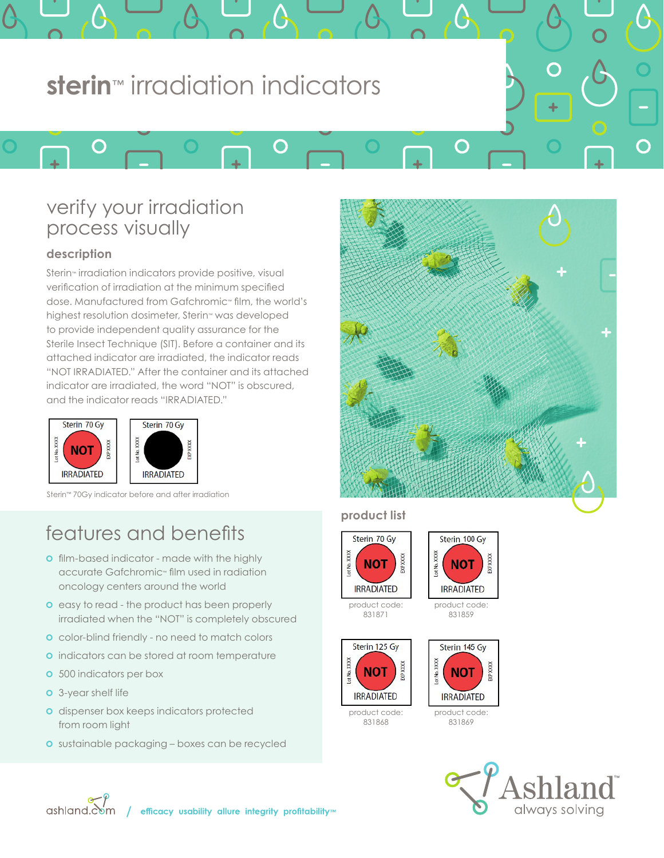# **sterin**™ irradiation indicators

 $\bigcap$ 

# verify your irradiation process visually

## **description**

 $\bigcap$ 

Sterin™ irradiation indicators provide positive, visual verification of irradiation at the minimum specified dose. Manufactured from Gafchromic™ film, the world's highest resolution dosimeter, Sterin™ was developed to provide independent quality assurance for the Sterile Insect Technique (SIT). Before a container and its attached indicator are irradiated, the indicator reads "NOT IRRADIATED." After the container and its attached indicator are irradiated, the word "NOT" is obscured, and the indicator reads "IRRADIATED."





Sterin™ 70Gy indicator before and after irradiation

# features and benefits

- **o** film-based indicator made with the highly accurate Gafchromic™ film used in radiation oncology centers around the world
- **o** easy to read the product has been properly irradiated when the "NOT" is completely obscured
- **o** color-blind friendly no need to match colors
- **o** indicators can be stored at room temperature
- **o** 500 indicators per box
- **o** 3-year shelf life
- **o** dispenser box keeps indicators protected from room light
- **o** sustainable packaging boxes can be recycled



 $\mathbf{C}$ 

 $\mathbf{\Omega}$ 

### **product list**

D



831871



831859







product code: 831869